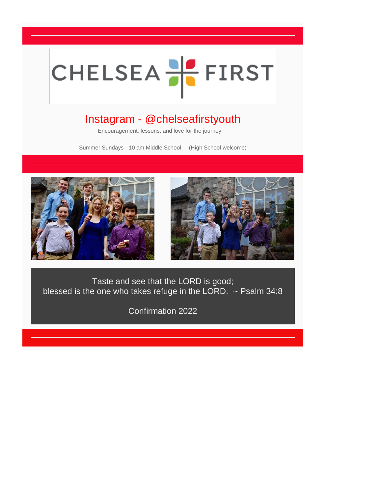## CHELSEA<sup>L</sup> FIRST

## Instagram - @chelseafirstyouth

Encouragement, lessons, and love for the journey

Summer Sundays - 10 am Middle School (High School welcome)





*Taste and see that the LORD is good; blessed is the one who takes refuge in the LORD. ~ Psalm 34:8*

*Confirmation 2022*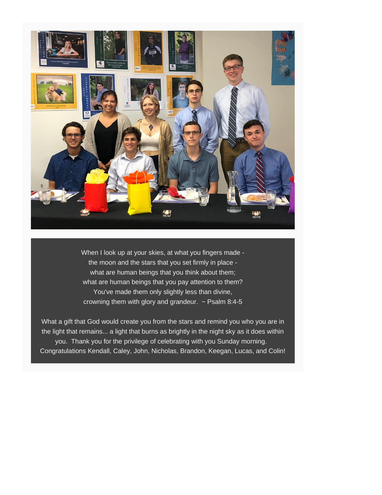

*When I look up at your skies, at what you fingers made the moon and the stars that you set firmly in place what are human beings that you think about them; what are human beings that you pay attention to them? You've made them only slightly less than divine, crowning them with glory and grandeur. ~ Psalm 8:4-5*

What a gift that God would create you from the stars and remind you who you are in the light that remains... a light that burns as brightly in the night sky as it does within you. Thank you for the privilege of celebrating with you Sunday morning. Congratulations Kendall, Caley, John, Nicholas, Brandon, Keegan, Lucas, and Colin!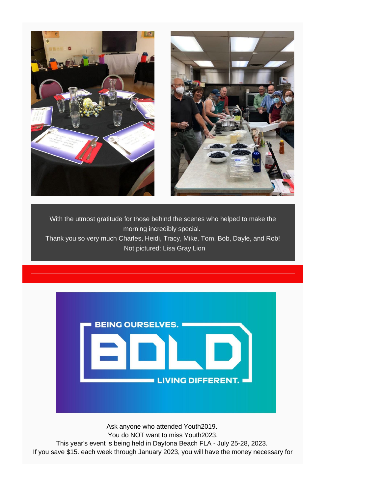

With the utmost gratitude for those behind the scenes who helped to make the morning incredibly special. Thank you so very much Charles, Heidi, Tracy, Mike, Tom, Bob, Dayle, and Rob! Not pictured: Lisa Gray Lion



Ask anyone who attended Youth2019. You do NOT want to miss Youth2023. This year's event is being held in Daytona Beach FLA - July 25-28, 2023. If you save \$15. each week through January 2023, you will have the money necessary for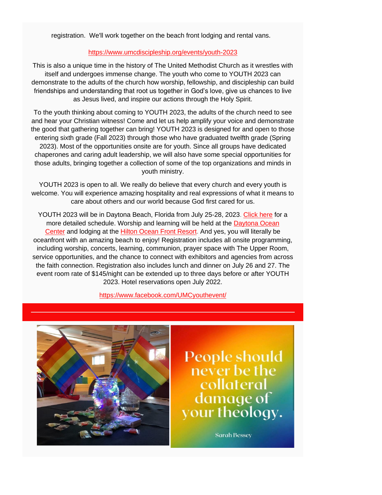registration. We'll work together on the beach front lodging and rental vans.

## [https://www.umcdiscipleship.org/events/youth-2023](https://chelseaumc.us14.list-manage.com/track/click?u=37c8191c70ab0cf4086c379d3&id=3af341e08f&e=37f2bbef4d)

This is also a unique time in the history of The United Methodist Church as it wrestles with itself and undergoes immense change. The youth who come to YOUTH 2023 can demonstrate to the adults of the church how worship, fellowship, and discipleship can build friendships and understanding that root us together in God's love, give us chances to live as Jesus lived, and inspire our actions through the Holy Spirit.

To the youth thinking about coming to YOUTH 2023, the adults of the church need to see and hear your Christian witness! Come and let us help amplify your voice and demonstrate the good that gathering together can bring! YOUTH 2023 is designed for and open to those entering sixth grade (Fall 2023) through those who have graduated twelfth grade (Spring 2023). Most of the opportunities onsite are for youth. Since all groups have dedicated chaperones and caring adult leadership, we will also have some special opportunities for those adults, bringing together a collection of some of the top organizations and minds in youth ministry.

YOUTH 2023 is open to all. We really do believe that every church and every youth is welcome. You will experience amazing hospitality and real expressions of what it means to care about others and our world because God first cared for us.

YOUTH 2023 will be in Daytona Beach, Florida from July 25-28, 2023. [Click here](https://chelseaumc.us14.list-manage.com/track/click?u=37c8191c70ab0cf4086c379d3&id=e43907f4ca&e=37f2bbef4d) for a more detailed schedule. Worship and learning will be held at the **Daytona Ocean** [Center](https://chelseaumc.us14.list-manage.com/track/click?u=37c8191c70ab0cf4086c379d3&id=ff9831bf87&e=37f2bbef4d) and lodging at the [Hilton Ocean Front Resort.](https://chelseaumc.us14.list-manage.com/track/click?u=37c8191c70ab0cf4086c379d3&id=004791b763&e=37f2bbef4d) And yes, you will literally be oceanfront with an amazing beach to enjoy! Registration includes all onsite programming, including worship, concerts, learning, communion, prayer space with The Upper Room, service opportunities, and the chance to connect with exhibitors and agencies from across the faith connection. Registration also includes lunch and dinner on July 26 and 27. The event room rate of \$145/night can be extended up to three days before or after YOUTH 2023. Hotel reservations open July 2022.

## [https://www.facebook.com/UMCyouthevent/](https://chelseaumc.us14.list-manage.com/track/click?u=37c8191c70ab0cf4086c379d3&id=02cea951ec&e=37f2bbef4d)



People should<br>never be the<br>collateral<br>damage of<br>your theology.

**Sarah Bessey**